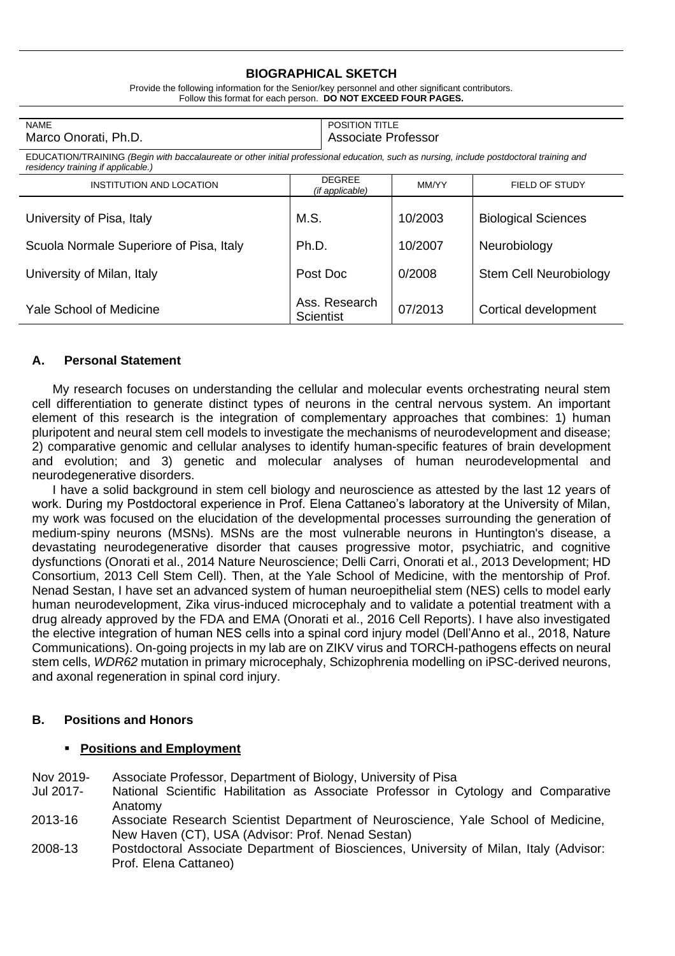## **BIOGRAPHICAL SKETCH**

| POSITION TITLE<br><b>NAME</b>                                                                                                                                                  |                                  |         |                               |
|--------------------------------------------------------------------------------------------------------------------------------------------------------------------------------|----------------------------------|---------|-------------------------------|
| Associate Professor<br>Marco Onorati, Ph.D.                                                                                                                                    |                                  |         |                               |
| EDUCATION/TRAINING (Begin with baccalaureate or other initial professional education, such as nursing, include postdoctoral training and<br>residency training if applicable.) |                                  |         |                               |
| INSTITUTION AND LOCATION                                                                                                                                                       | <b>DEGREE</b><br>(if applicable) | MM/YY   | <b>FIELD OF STUDY</b>         |
| University of Pisa, Italy                                                                                                                                                      | M.S.                             | 10/2003 | <b>Biological Sciences</b>    |
| Scuola Normale Superiore of Pisa, Italy                                                                                                                                        | Ph.D.                            | 10/2007 | Neurobiology                  |
| University of Milan, Italy                                                                                                                                                     | Post Doc                         | 0/2008  | <b>Stem Cell Neurobiology</b> |
| Yale School of Medicine                                                                                                                                                        | Ass. Research<br>Scientist       | 07/2013 | Cortical development          |

Provide the following information for the Senior/key personnel and other significant contributors. Follow this format for each person. **DO NOT EXCEED FOUR PAGES.**

### **A. Personal Statement**

My research focuses on understanding the cellular and molecular events orchestrating neural stem cell differentiation to generate distinct types of neurons in the central nervous system. An important element of this research is the integration of complementary approaches that combines: 1) human pluripotent and neural stem cell models to investigate the mechanisms of neurodevelopment and disease; 2) comparative genomic and cellular analyses to identify human-specific features of brain development and evolution; and 3) genetic and molecular analyses of human neurodevelopmental and neurodegenerative disorders.

I have a solid background in stem cell biology and neuroscience as attested by the last 12 years of work. During my Postdoctoral experience in Prof. Elena Cattaneo's laboratory at the University of Milan, my work was focused on the elucidation of the developmental processes surrounding the generation of medium-spiny neurons (MSNs). MSNs are the most vulnerable neurons in Huntington's disease, a devastating neurodegenerative disorder that causes progressive motor, psychiatric, and cognitive dysfunctions (Onorati et al., 2014 Nature Neuroscience; Delli Carri, Onorati et al., 2013 Development; HD Consortium, 2013 Cell Stem Cell). Then, at the Yale School of Medicine, with the mentorship of Prof. Nenad Sestan, I have set an advanced system of human neuroepithelial stem (NES) cells to model early human neurodevelopment, Zika virus-induced microcephaly and to validate a potential treatment with a drug already approved by the FDA and EMA (Onorati et al., 2016 Cell Reports). I have also investigated the elective integration of human NES cells into a spinal cord injury model (Dell'Anno et al., 2018, Nature Communications). On-going projects in my lab are on ZIKV virus and TORCH-pathogens effects on neural stem cells, *WDR62* mutation in primary microcephaly, Schizophrenia modelling on iPSC-derived neurons, and axonal regeneration in spinal cord injury.

#### **B. Positions and Honors**

#### ▪ **Positions and Employment**

- Nov 2019- Associate Professor, Department of Biology, University of Pisa
- Jul 2017- National Scientific Habilitation as Associate Professor in Cytology and Comparative Anatomy
- 2013-16 Associate Research Scientist Department of Neuroscience, Yale School of Medicine, New Haven (CT), USA (Advisor: Prof. Nenad Sestan)
- 2008-13 Postdoctoral Associate Department of Biosciences, University of Milan, Italy (Advisor: Prof. Elena Cattaneo)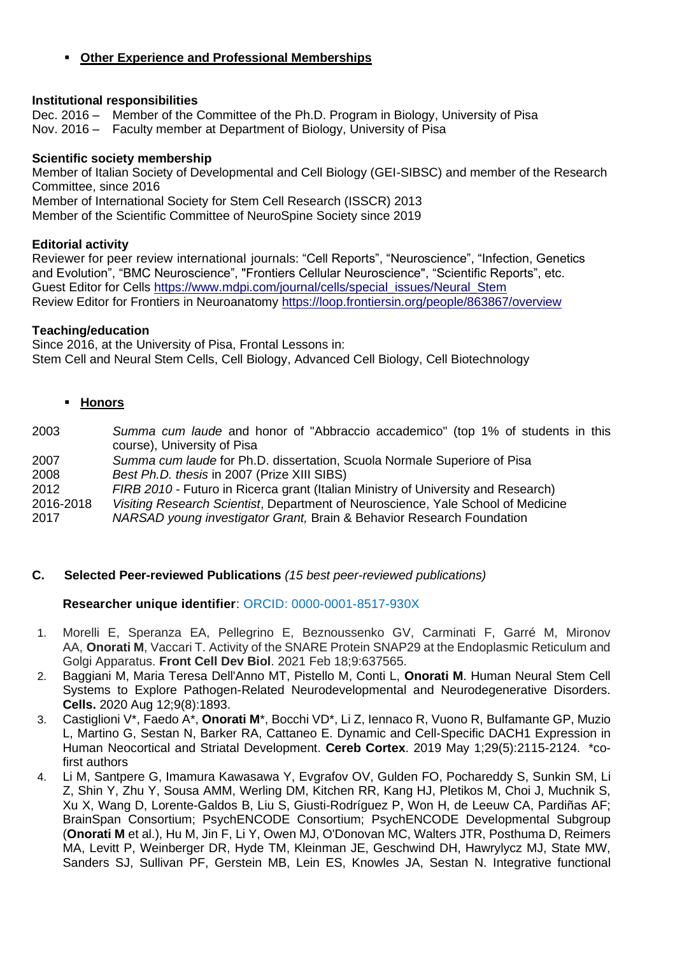# ▪ **Other Experience and Professional Memberships**

## **Institutional responsibilities**

Dec. 2016 – Member of the Committee of the Ph.D. Program in Biology, University of Pisa Nov. 2016 – Faculty member at Department of Biology, University of Pisa

## **Scientific society membership**

Member of Italian Society of Developmental and Cell Biology (GEI-SIBSC) and member of the Research Committee, since 2016 Member of International Society for Stem Cell Research (ISSCR) 2013

Member of the Scientific Committee of NeuroSpine Society since 2019

## **Editorial activity**

Reviewer for peer review international journals: "Cell Reports", "Neuroscience", "Infection, Genetics and Evolution", "BMC Neuroscience", "Frontiers Cellular Neuroscience", "Scientific Reports", etc. Guest Editor for Cells [https://www.mdpi.com/journal/cells/special\\_issues/Neural\\_Stem](https://www.mdpi.com/journal/cells/special_issues/Neural_Stem) Review Editor for Frontiers in Neuroanatomy<https://loop.frontiersin.org/people/863867/overview>

### **Teaching/education**

Since 2016, at the University of Pisa, Frontal Lessons in: Stem Cell and Neural Stem Cells, Cell Biology, Advanced Cell Biology, Cell Biotechnology

- **Honors**
- 2003 *Summa cum laude* and honor of "Abbraccio accademico" (top 1% of students in this course), University of Pisa 2007 *Summa cum laude* for Ph.D. dissertation, Scuola Normale Superiore of Pisa
- 2008 *Best Ph.D. thesis* in 2007 (Prize XIII SIBS)
- 2012 *FIRB 2010 -* Futuro in Ricerca grant (Italian Ministry of University and Research)
- 2016-2018 *Visiting Research Scientist*, Department of Neuroscience, Yale School of Medicine
- 2017 *NARSAD young investigator Grant,* Brain & Behavior Research Foundation

## **C. Selected Peer-reviewed Publications** *(15 best peer-reviewed publications)*

## **Researcher unique identifier**: ORCID: 0000-0001-8517-930X

- 1. Morelli E, Speranza EA, Pellegrino E, Beznoussenko GV, Carminati F, Garré M, Mironov AA, **Onorati M**, Vaccari T. Activity of the SNARE Protein SNAP29 at the Endoplasmic Reticulum and Golgi Apparatus. **Front Cell Dev Biol**. 2021 Feb 18;9:637565.
- 2. Baggiani M, Maria Teresa Dell'Anno MT, Pistello M, Conti L, **Onorati M**. Human Neural Stem Cell Systems to Explore Pathogen-Related Neurodevelopmental and Neurodegenerative Disorders. **Cells.** 2020 Aug 12;9(8):1893.
- 3. Castiglioni V\*, Faedo A\*, **Onorati M**\*, Bocchi VD\*, Li Z, Iennaco R, Vuono R, Bulfamante GP, Muzio L, Martino G, Sestan N, Barker RA, Cattaneo E. [Dynamic and Cell-Specific DACH1 Expression in](https://www.ncbi.nlm.nih.gov/pubmed/29688344)  [Human Neocortical and Striatal Development.](https://www.ncbi.nlm.nih.gov/pubmed/29688344) **Cereb Cortex**. 2019 May 1;29(5):2115-2124. \*cofirst authors
- 4. Li M, Santpere G, Imamura Kawasawa Y, Evgrafov OV, Gulden FO, Pochareddy S, Sunkin SM, Li Z, Shin Y, Zhu Y, Sousa AMM, Werling DM, Kitchen RR, Kang HJ, Pletikos M, Choi J, Muchnik S, Xu X, Wang D, Lorente-Galdos B, Liu S, Giusti-Rodríguez P, Won H, de Leeuw CA, Pardiñas AF; BrainSpan Consortium; PsychENCODE Consortium; PsychENCODE Developmental Subgroup (**Onorati M** et al.), Hu M, Jin F, Li Y, Owen MJ, O'Donovan MC, Walters JTR, Posthuma D, Reimers MA, Levitt P, Weinberger DR, Hyde TM, Kleinman JE, Geschwind DH, Hawrylycz MJ, State MW, Sanders SJ, Sullivan PF, Gerstein MB, Lein ES, Knowles JA, Sestan N. [Integrative functional](https://www.ncbi.nlm.nih.gov/pubmed/30545854)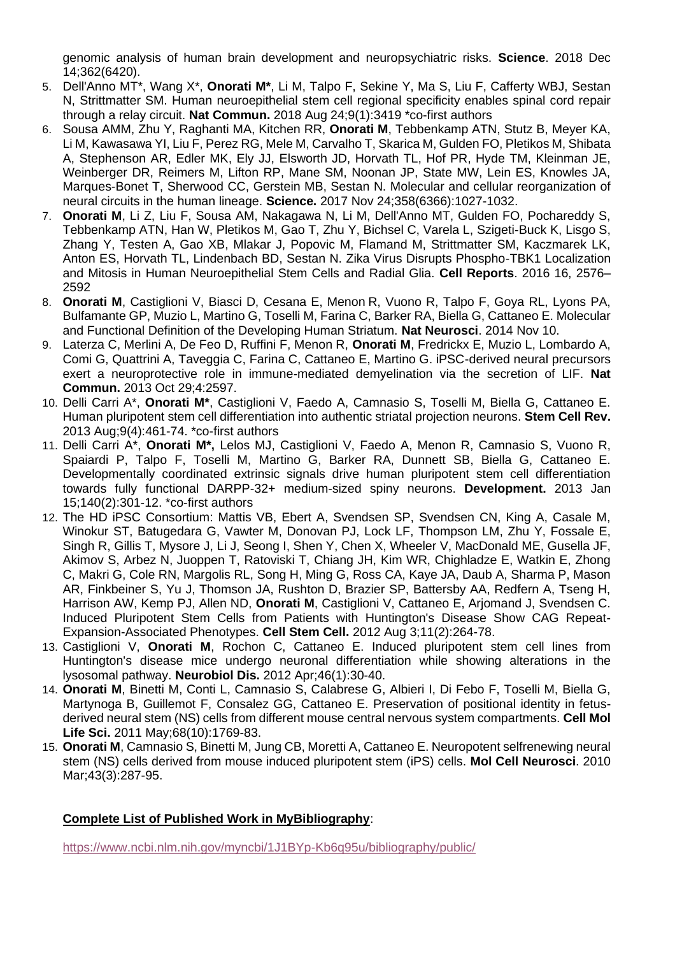[genomic analysis of human brain development and neuropsychiatric risks.](https://www.ncbi.nlm.nih.gov/pubmed/30545854) **Science**. 2018 Dec 14;362(6420).

- 5. Dell'Anno MT\*, Wang X\*, **Onorati M\***, Li M, Talpo F, Sekine Y, Ma S, Liu F, Cafferty WBJ, Sestan N, Strittmatter SM. [Human neuroepithelial stem cell regional specificity enables spinal cord repair](https://www.ncbi.nlm.nih.gov/pubmed/30143638)  [through a relay circuit.](https://www.ncbi.nlm.nih.gov/pubmed/30143638) **Nat Commun.** 2018 Aug 24;9(1):3419 \*co-first authors
- 6. Sousa AMM, Zhu Y, Raghanti MA, Kitchen RR, **Onorati M**, Tebbenkamp ATN, Stutz B, Meyer KA, Li M, Kawasawa YI, Liu F, Perez RG, Mele M, Carvalho T, Skarica M, Gulden FO, Pletikos M, Shibata A, Stephenson AR, Edler MK, Ely JJ, Elsworth JD, Horvath TL, Hof PR, Hyde TM, Kleinman JE, Weinberger DR, Reimers M, Lifton RP, Mane SM, Noonan JP, State MW, Lein ES, Knowles JA, Marques-Bonet T, Sherwood CC, Gerstein MB, Sestan N. Molecular and cellular reorganization of neural circuits in the human lineage. **Science.** 2017 Nov 24;358(6366):1027-1032.
- 7. **Onorati M**, Li Z, Liu F, Sousa AM, Nakagawa N, Li M, Dell'Anno MT, Gulden FO, Pochareddy S, Tebbenkamp ATN, Han W, Pletikos M, Gao T, Zhu Y, Bichsel C, Varela L, Szigeti-Buck K, Lisgo S, Zhang Y, Testen A, Gao XB, Mlakar J, Popovic M, Flamand M, Strittmatter SM, Kaczmarek LK, Anton ES, Horvath TL, Lindenbach BD, Sestan N. Zika Virus Disrupts Phospho-TBK1 Localization and Mitosis in Human Neuroepithelial Stem Cells and Radial Glia. **Cell Reports**. 2016 16, 2576– 2592
- 8. **Onorati M**, Castiglioni V, Biasci D, Cesana E, Menon R, Vuono R, Talpo F, Goya RL, Lyons PA, Bulfamante GP, Muzio L, Martino G, Toselli M, Farina C, Barker RA, Biella G, Cattaneo E. Molecular and Functional Definition of the Developing Human Striatum. **Nat Neurosci**. 2014 Nov 10.
- 9. Laterza C, Merlini A, De Feo D, Ruffini F, Menon R, **Onorati M**, Fredrickx E, Muzio L, Lombardo A, Comi G, Quattrini A, Taveggia C, Farina C, Cattaneo E, Martino G. iPSC-derived neural precursors exert a neuroprotective role in immune-mediated demyelination via the secretion of LIF. **Nat Commun.** 2013 Oct 29;4:2597.
- 10. Delli Carri A\*, **Onorati M\***, Castiglioni V, Faedo A, Camnasio S, Toselli M, Biella G, Cattaneo E. Human pluripotent stem cell differentiation into authentic striatal projection neurons. **Stem Cell Rev.** 2013 Aug;9(4):461-74. \*co-first authors
- 11. Delli Carri A\*, **Onorati M\*,** Lelos MJ, Castiglioni V, Faedo A, Menon R, Camnasio S, Vuono R, Spaiardi P, Talpo F, Toselli M, Martino G, Barker RA, Dunnett SB, Biella G, Cattaneo E. Developmentally coordinated extrinsic signals drive human pluripotent stem cell differentiation towards fully functional DARPP-32+ medium-sized spiny neurons. **Development.** 2013 Jan 15;140(2):301-12. \*co-first authors
- 12. The HD iPSC Consortium: Mattis VB, Ebert A, Svendsen SP, Svendsen CN, King A, Casale M, Winokur ST, Batugedara G, Vawter M, Donovan PJ, Lock LF, Thompson LM, Zhu Y, Fossale E, Singh R, Gillis T, Mysore J, Li J, Seong I, Shen Y, Chen X, Wheeler V, MacDonald ME, Gusella JF, Akimov S, Arbez N, Juoppen T, Ratoviski T, Chiang JH, Kim WR, Chighladze E, Watkin E, Zhong C, Makri G, Cole RN, Margolis RL, Song H, Ming G, Ross CA, Kaye JA, Daub A, Sharma P, Mason AR, Finkbeiner S, Yu J, Thomson JA, Rushton D, Brazier SP, Battersby AA, Redfern A, Tseng H, Harrison AW, Kemp PJ, Allen ND, **Onorati M**, Castiglioni V, Cattaneo E, Arjomand J, Svendsen C. Induced Pluripotent Stem Cells from Patients with Huntington's Disease Show CAG Repeat-Expansion-Associated Phenotypes. **Cell Stem Cell.** 2012 Aug 3;11(2):264-78.
- 13. Castiglioni V, **Onorati M**, Rochon C, Cattaneo E. Induced pluripotent stem cell lines from Huntington's disease mice undergo neuronal differentiation while showing alterations in the lysosomal pathway. **Neurobiol Dis.** 2012 Apr;46(1):30-40.
- 14. **Onorati M**, Binetti M, Conti L, Camnasio S, Calabrese G, Albieri I, Di Febo F, Toselli M, Biella G, Martynoga B, Guillemot F, Consalez GG, Cattaneo E. Preservation of positional identity in fetusderived neural stem (NS) cells from different mouse central nervous system compartments. **Cell Mol Life Sci.** 2011 May;68(10):1769-83.
- 15. **Onorati M**, Camnasio S, Binetti M, Jung CB, Moretti A, Cattaneo E. Neuropotent selfrenewing neural stem (NS) cells derived from mouse induced pluripotent stem (iPS) cells. **Mol Cell Neurosci**. 2010 Mar;43(3):287-95.

# **Complete List of Published Work in MyBibliography**:

<https://www.ncbi.nlm.nih.gov/myncbi/1J1BYp-Kb6q95u/bibliography/public/>